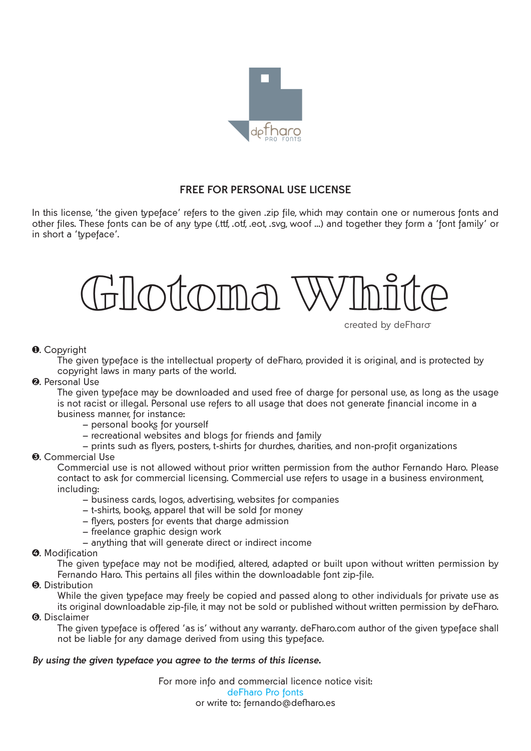

# **FREE FOR PERSONAL USE LICENSE**

In this license, 'the given typeface' refers to the given .zip file, which may contain one or numerous fonts and other files. These fonts can be of any type (.ttf, .otf, .eot, .svg, woof …) and together they form a 'font family' or in short a 'typeface'.



created by deFharo

# **0.** Copyright

The given typeface is the intellectual property of deFharo, provided it is original, and is protected by copyright laws in many parts of the world.

#### **2.** Personal Use

The given typeface may be downloaded and used free of charge for personal use, as long as the usage is not racist or illegal. Personal use refers to all usage that does not generate financial income in a business manner, for instance:

- personal books for yourself
- recreational websites and blogs for friends and family
- prints such as flyers, posters, t-shirts for churches, charities, and non-profit organizations

# **6.** Commercial Use

Commercial use is not allowed without prior written permission from the author Fernando Haro. Please contact to ask for commercial licensing. Commercial use refers to usage in a business environment, including:

- business cards, logos, advertising, websites for companies
- t-shirts, books, apparel that will be sold for money
- flyers, posters for events that charge admission
- freelance graphic design work
- anything that will generate direct or indirect income

#### **4.** Modification

The given typeface may not be modified, altered, adapted or built upon without written permission by Fernando Haro. This pertains all files within the downloadable font zip-file.

# **6.** Distribution

While the given typeface may freely be copied and passed along to other individuals for private use as its original downloadable zip-file, it may not be sold or published without written permission by deFharo.

6. Disclaimer

The given typeface is offered 'as is' without any warranty. deFharo.com author of the given typeface shall not be liable for any damage derived from using this typeface.

# *By using the given typeface you agree to the terms of this license.*

For more info and commercial licence notice visit: [deFharo](http://defharo.com/) Pro fonts or write to: fernando@defharo.es